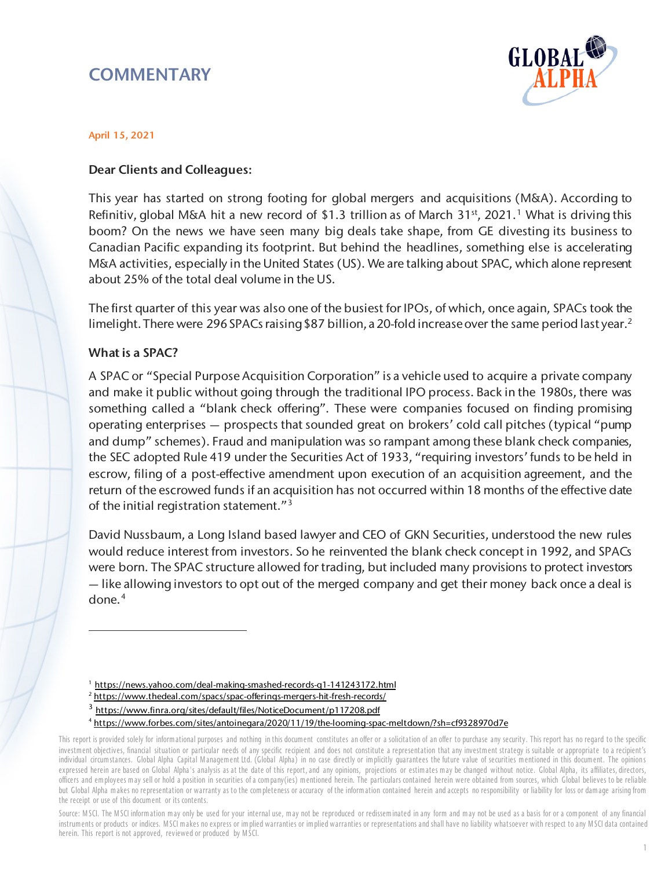# **COMMENTARY**



#### April 15, 2021

### Dear Clients and Colleagues:

This year has started on strong footing for global mergers and acquisitions (M&A). According to Refinitiv, global M&A hit a new record of \$[1](#page-0-0).3 trillion as of March 31<sup>st</sup>, 2021.<sup>1</sup> What is driving this boom? On the news we have seen many big deals take shape, from GE divesting its business to Canadian Pacific expanding its footprint. But behind the headlines, something else is accelerating M&A activities, especially in the United States (US). We are talking about SPAC, which alone represent about 25% of the total deal volume in the US.

The first quarter of this year was also one of the busiest for IPOs, of which, once again, SPACs took the limelight. There were [2](#page-0-1)96 SPACs raising \$87 billion, a 20-fold increase over the same period last year.<sup>2</sup>

#### What is a SPAC?

 $\overline{a}$ 

A SPAC or "Special Purpose Acquisition Corporation" is a vehicle used to acquire a private company and make it public without going through the traditional IPO process. Back in the 1980s, there was something called a "blank check offering". These were companies focused on finding promising operating enterprises — prospects that sounded great on brokers' cold call pitches (typical "pump and dump" schemes). Fraud and manipulation was so rampant among these blank check companies, the SEC adopted Rule 419 under the Securities Act of 1933, "requiring investors' funds to be held in escrow, filing of a post-effective amendment upon execution of an acquisition agreement, and the return of the escrowed funds if an acquisition has not occurred within 18 months of the effective date of the initial registration statement."<sup>[3](#page-0-2)</sup>

David Nussbaum, a Long Island based lawyer and CEO of GKN Securities, understood the new rules would reduce interest from investors. So he reinvented the blank check concept in 1992, and SPACs were born. The SPAC structure allowed for trading, but included many provisions to protect investors — like allowing investors to opt out of the merged company and get their money back once a deal is done. $4$ 

<sup>&</sup>lt;sup>1</sup> <https://news.yahoo.com/deal-making-smashed-records-q1-141243172.html>

<sup>&</sup>lt;sup>2</sup> <https://www.thedeal.com/spacs/spac-offerings-mergers-hit-fresh-records/>

<sup>3</sup> <https://www.finra.org/sites/default/files/NoticeDocument/p117208.pdf>

<sup>4</sup> <https://www.forbes.com/sites/antoinegara/2020/11/19/the-looming-spac-meltdown/?sh=cf9328970d7e>

<span id="page-0-3"></span><span id="page-0-2"></span><span id="page-0-1"></span><span id="page-0-0"></span>This report is provided solely for informational purposes and nothing in this document constitutes an offer or a solicitation of an offer to purchase any security. This report has no regard to the specific investm ent objectives, financial situation or particular needs of any specific recipient and does not constitute a representation that any investm ent strategy is suitable or appropriate to a recipient's individual circum stances. Global Alpha Capital Management Ltd. (Global Alpha) in no case directly or implicitly guarantees the future value of securities mentioned in this document. The opinions expressed herein are based on Global Alpha's analysis as at the date of this report, and any opinions, projections or estimates may be changed without notice. Global Alpha, its affiliates, directors, officers and em ployees m ay sell or hold a position in securities of a com pany(ies) m entioned herein. The particulars contained herein were obtained from sources, which Global believes to be reliable but Global Alpha makes no representation or warranty as to the completeness or accuracy of the information contained herein and accepts no responsibility or liability for loss or damage arising from the receipt or use of this docum ent or its contents.

Source: MSCI. The MSCI information may only be used for your internal use, may not be reproduced or redisseminated in any form and may not be used as a basis for or a component of any financial instrum ents or products or indices. M SCI m akes no express or im plied warranties or im plied warranties or representations and shall have no liability whatsoever with respect to any M SCI data contained herein. This report is not approved, reviewed or produced by M SCI.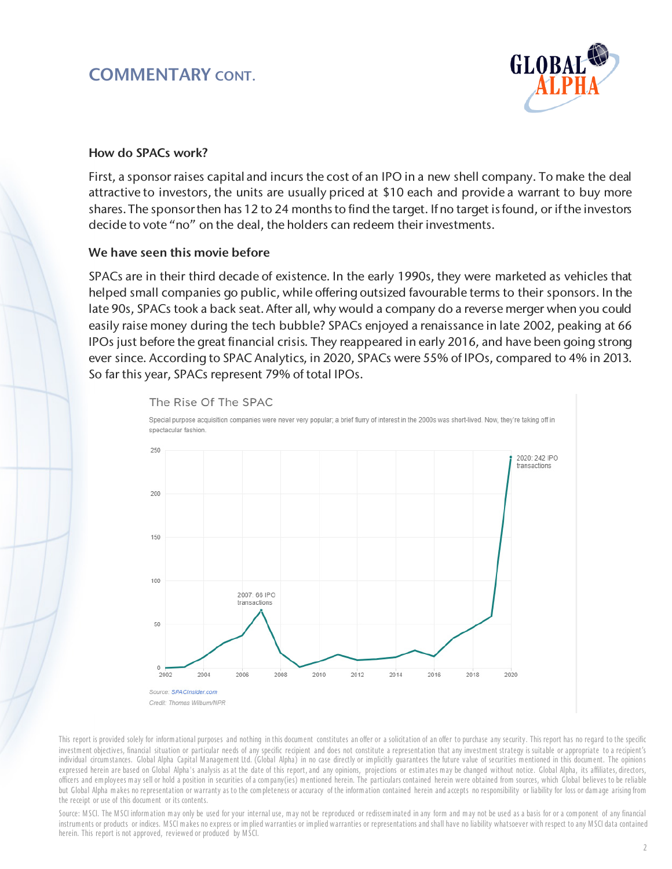# COMMENTARY CONT.



#### How do SPACs work?

First, a sponsor raises capital and incurs the cost of an IPO in a new shell company. To make the deal attractive to investors, the units are usually priced at \$10 each and provide a warrant to buy more shares. The sponsorthen has 12 to 24 months to find the target. If no target is found, or if the investors decide to vote "no" on the deal, the holders can redeem their investments.

#### We have seen this movie before

SPACs are in their third decade of existence. In the early 1990s, they were marketed as vehicles that helped small companies go public, while offering outsized favourable terms to their sponsors. In the late 90s, SPACs took a back seat. After all, why would a company do a reverse merger when you could easily raise money during the tech bubble? SPACs enjoyed a renaissance in late 2002, peaking at 66 IPOs just before the great financial crisis. They reappeared in early 2016, and have been going strong ever since. According to SPAC Analytics, in 2020, SPACs were 55% of IPOs, compared to 4% in 2013. So far this year, SPACs represent 79% of total IPOs.



This report is provided solely for informational purposes and nothing in this document constitutes an offer or a solicitation of an offer to purchase any security. This report has no regard to the specific investm ent objectives, financial situation or particular needs of any specific recipient and does not constitute a representation that any investm ent strategy is suitable or appropriate to a recipient's individual circumstances. Global Alpha Capital Management Ltd. (Global Alpha) in no case directly or implicitly guarantees the future value of securities mentioned in this document. The opinions expressed herein are based on Global Alpha's analysis as at the date of this report, and any opinions, projections or estimates may be changed without notice. Global Alpha, its affiliates, directors, officers and em ployees m ay sell or hold a position in securities of a com pany(ies) m entioned herein. The particulars contained herein were obtained from sources, which Global believes to be reliable but Global Alpha makes no representation or warranty as to the completeness or accuracy of the information contained herein and accepts no responsibility or liability for loss or dam age arising from the receipt or use of this docum ent or its contents.

Source: MSCI. The MSCI information may only be used for your internal use, may not be reproduced or redisseminated in any form and may not be used as a basis for or a component of any financial instrum ents or products or indices. MSCI makes no express or implied warranties or implied warranties or representations and shall have no liability whatsoever with respect to any MSCI data contained herein. This report is not approved, reviewed or produced by M SCI.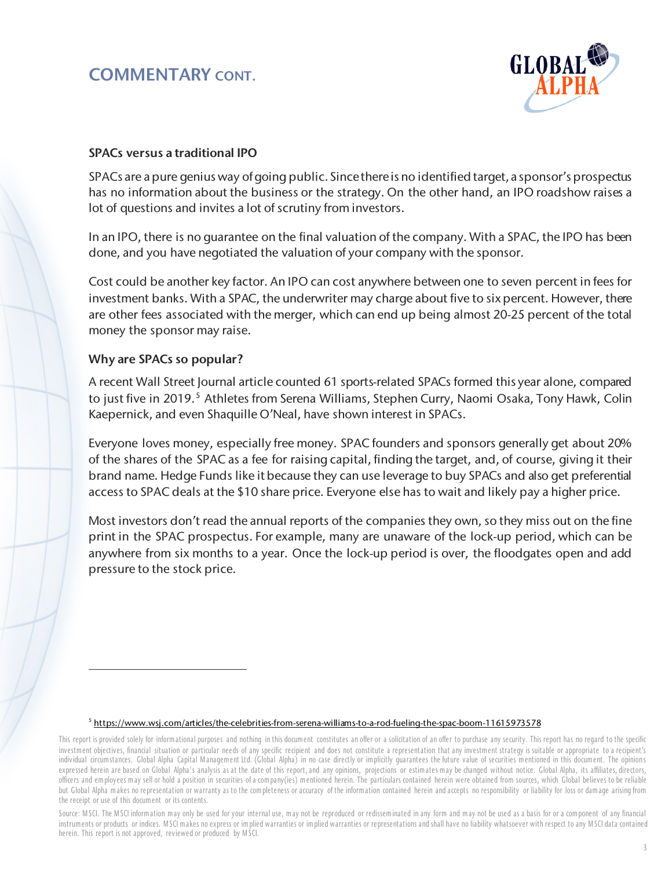# COMMENTARY CONT.



### SPACs versus a traditional IPO

SPACs are a pure genius way of going public. Since there is no identified target, a sponsor's prospectus has no information about the business or the strategy. On the other hand, an IPO roadshow raises a lot of questions and invites a lot of scrutiny from investors.

In an IPO, there is no guarantee on the final valuation of the company. With a SPAC, the IPO has been done, and you have negotiated the valuation of your company with the sponsor.

Cost could be another key factor. An IPO can cost anywhere between one to seven percent in fees for investment banks. With a SPAC, the underwriter may charge about five to six percent. However, there are other fees associated with the merger, which can end up being almost 20-25 percent of the total money the sponsor may raise.

### Why are SPACs so popular?

 $\overline{a}$ 

A recent Wall Street Journal article counted 61 sports-related SPACs formed this year alone, compared to just five in 2019.<sup>[5](#page-2-0)</sup> Athletes from Serena Williams, Stephen Curry, Naomi Osaka, Tony Hawk, Colin Kaepernick, and even Shaquille O'Neal, have shown interest in SPACs.

Everyone loves money, especially free money. SPAC founders and sponsors generally get about 20% of the shares of the SPAC as a fee for raising capital, finding the target, and, of course, giving it their brand name. Hedge Funds like it because they can use leverage to buy SPACs and also get preferential access to SPAC deals at the \$10 share price. Everyone else has to wait and likely pay a higher price.

Most investors don't read the annual reports of the companies they own, so they miss out on the fine print in the SPAC prospectus. For example, many are unaware of the lock-up period, which can be anywhere from six months to a year. Once the lock-up period is over, the floodgates open and add pressure to the stock price.

#### <sup>5</sup> <https://www.wsj.com/articles/the-celebrities-from-serena-williams-to-a-rod-fueling-the-spac-boom-11615973578>

Source: MSCI. The MSCI information may only be used for your internal use, may not be reproduced or redisseminated in any form and may not be used as a basis for or a component of any financial instruments or products or indices. MSCI makes no express or implied warranties or implied warranties or representations and shall have no liability whatsoever with respect to any MSCI data contained herein. This report is not approved, reviewed or produced by M SCI.

<span id="page-2-0"></span>This report is provided solely for informational purposes and nothing in this document constitutes an offer or a solicitation of an offer to purchase any security. This report has no regard to the specific investm ent objectives, financial situation or particular needs of any specific recipient and does not constitute a representation that any investm ent strategy is suitable or appropriate to a recipient's individual circum stances. Global Alpha Capital Management Ltd. (Global Alpha) in no case directly or implicitly guarantees the future value of securities mentioned in this document. The opinions expressed herein are based on Global Alpha's analysis as at the date of this report, and any opinions, projections or estimates may be changed without notice. Global Alpha, its affiliates, directors, officers and em ployees m ay sell or hold a position in securities of a com pany(ies) m entioned herein. The particulars contained herein were obtained from sources, which Global believes to be reliable but Global Alpha makes no representation or warranty as to the completeness or accuracy of the information contained herein and accepts no responsibility or liability for loss or damage arising from the receipt or use of this docum ent or its contents.